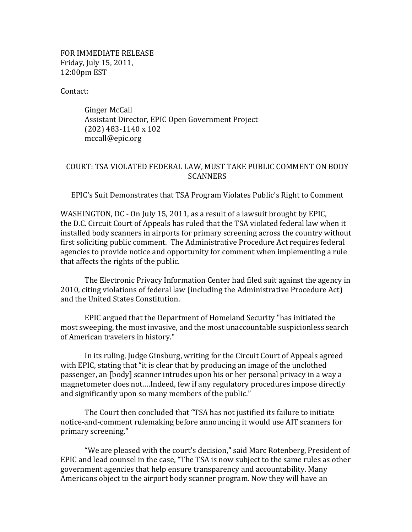FOR IMMEDIATE RELEASE Friday, July 15, 2011, 12:00pm EST

Contact:

Ginger McCall Assistant Director, EPIC Open Government Project  $(202)$  483-1140 x 102 mccall@epic.org

## COURT: TSA VIOLATED FEDERAL LAW, MUST TAKE PUBLIC COMMENT ON BODY **SCANNERS**

EPIC's Suit Demonstrates that TSA Program Violates Public's Right to Comment

WASHINGTON, DC - On July 15, 2011, as a result of a lawsuit brought by EPIC, the D.C. Circuit Court of Appeals has ruled that the TSA violated federal law when it installed body scanners in airports for primary screening across the country without first soliciting public comment. The Administrative Procedure Act requires federal agencies to provide notice and opportunity for comment when implementing a rule that affects the rights of the public.

The Electronic Privacy Information Center had filed suit against the agency in 2010, citing violations of federal law (including the Administrative Procedure Act) and the United States Constitution.

EPIC argued that the Department of Homeland Security "has initiated the most sweeping, the most invasive, and the most unaccountable suspicionless search of American travelers in history."

In its ruling, Judge Ginsburg, writing for the Circuit Court of Appeals agreed with EPIC, stating that "it is clear that by producing an image of the unclothed passenger, an [body] scanner intrudes upon his or her personal privacy in a way a magnetometer does not....Indeed, few if any regulatory procedures impose directly and significantly upon so many members of the public."

The Court then concluded that "TSA has not justified its failure to initiate notice-and-comment rulemaking before announcing it would use AIT scanners for primary screening."

"We are pleased with the court's decision," said Marc Rotenberg, President of EPIC and lead counsel in the case, "The TSA is now subject to the same rules as other government agencies that help ensure transparency and accountability. Many Americans object to the airport body scanner program. Now they will have an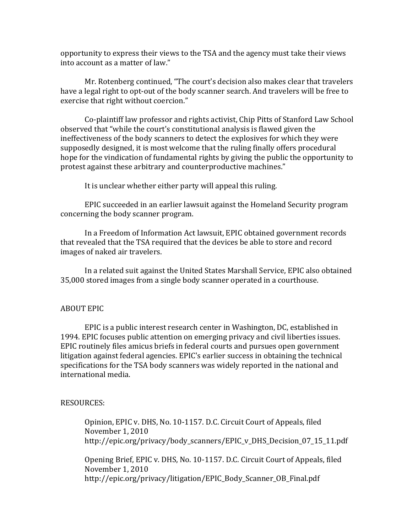opportunity to express their views to the TSA and the agency must take their views into account as a matter of law."

Mr. Rotenberg continued, "The court's decision also makes clear that travelers have a legal right to opt-out of the body scanner search. And travelers will be free to exercise that right without coercion."

Co-plaintiff law professor and rights activist, Chip Pitts of Stanford Law School observed that "while the court's constitutional analysis is flawed given the ineffectiveness of the body scanners to detect the explosives for which they were supposedly designed, it is most welcome that the ruling finally offers procedural hope for the vindication of fundamental rights by giving the public the opportunity to protest against these arbitrary and counterproductive machines."

It is unclear whether either party will appeal this ruling.

EPIC succeeded in an earlier lawsuit against the Homeland Security program concerning the body scanner program.

In a Freedom of Information Act lawsuit, EPIC obtained government records that revealed that the TSA required that the devices be able to store and record images of naked air travelers.

In a related suit against the United States Marshall Service, EPIC also obtained 35,000 stored images from a single body scanner operated in a courthouse.

## **ABOUT EPIC**

EPIC is a public interest research center in Washington, DC, established in 1994. EPIC focuses public attention on emerging privacy and civil liberties issues. EPIC routinely files amicus briefs in federal courts and pursues open government litigation against federal agencies. EPIC's earlier success in obtaining the technical specifications for the TSA body scanners was widely reported in the national and international media.

## RESOURCES:

Opinion, EPIC v. DHS, No. 10-1157. D.C. Circuit Court of Appeals, filed November 1, 2010 http://epic.org/privacy/body\_scanners/EPIC\_v\_DHS\_Decision\_07\_15\_11.pdf

Opening Brief, EPIC v. DHS, No. 10-1157. D.C. Circuit Court of Appeals, filed November 1, 2010 http://epic.org/privacy/litigation/EPIC\_Body\_Scanner\_OB\_Final.pdf